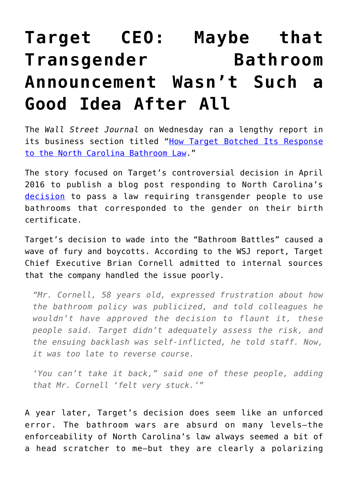## **[Target CEO: Maybe that](https://intellectualtakeout.org/2017/04/target-ceo-maybe-that-transgender-bathroom-announcement-wasnt-such-a-good-idea-after-all/) [Transgender Bathroom](https://intellectualtakeout.org/2017/04/target-ceo-maybe-that-transgender-bathroom-announcement-wasnt-such-a-good-idea-after-all/) [Announcement Wasn't Such a](https://intellectualtakeout.org/2017/04/target-ceo-maybe-that-transgender-bathroom-announcement-wasnt-such-a-good-idea-after-all/) [Good Idea After All](https://intellectualtakeout.org/2017/04/target-ceo-maybe-that-transgender-bathroom-announcement-wasnt-such-a-good-idea-after-all/)**

The *Wall Street Journal* on Wednesday ran a lengthy report in its business section titled ["How Target Botched Its Response](https://www.wsj.com/articles/how-target-botched-its-response-to-the-north-carolina-bathroom-law-1491404107) [to the North Carolina Bathroom Law.](https://www.wsj.com/articles/how-target-botched-its-response-to-the-north-carolina-bathroom-law-1491404107)"

The story focused on Target's controversial decision in April 2016 to publish a blog post responding to North Carolina's [decision](https://www.wsj.com/articles/bathroom-battles-erupt-over-transgender-issue-1458862031) to pass a law requiring transgender people to use bathrooms that corresponded to the gender on their birth certificate.

Target's decision to wade into the "Bathroom Battles" caused a wave of fury and boycotts. According to the WSJ report, Target Chief Executive Brian Cornell admitted to internal sources that the company handled the issue poorly.

*"Mr. Cornell, 58 years old, expressed frustration about how the bathroom policy was publicized, and told colleagues he wouldn't have approved the decision to flaunt it, these people said. Target didn't adequately assess the risk, and the ensuing backlash was self-inflicted, he told staff. Now, it was too late to reverse course.*

*'You can't take it back," said one of these people, adding that Mr. Cornell 'felt very stuck.'"*

A year later, Target's decision does seem like an unforced error. The bathroom wars are absurd on many levels—the enforceability of North Carolina's law always seemed a bit of a head scratcher to me—but they are clearly a polarizing